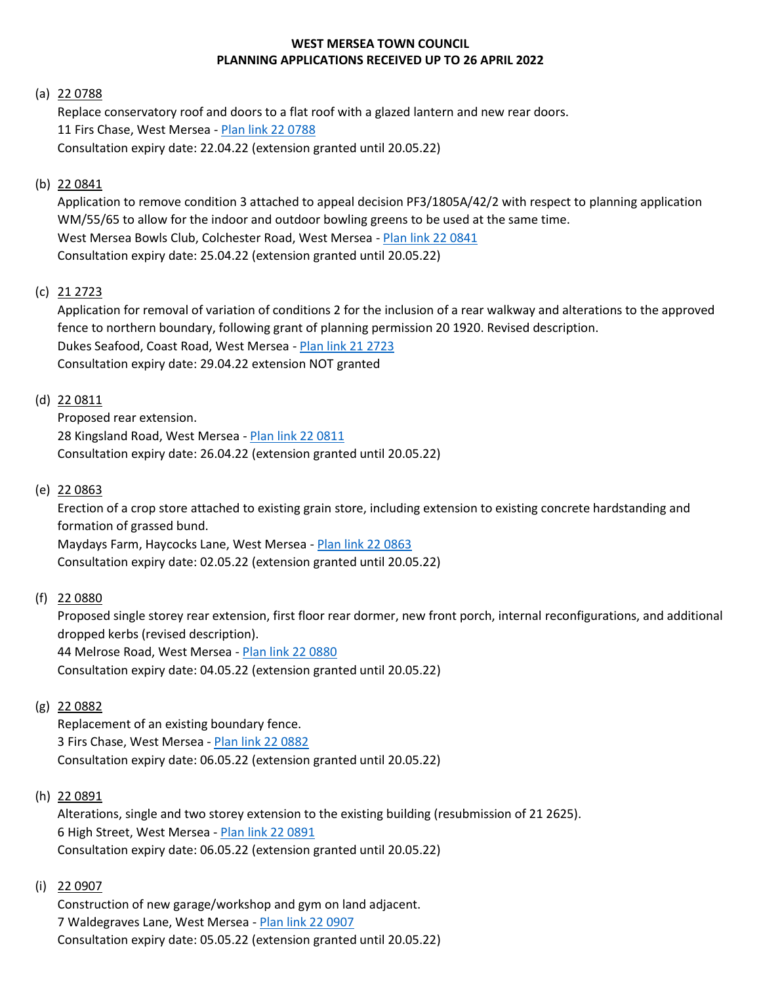## **WEST MERSEA TOWN COUNCIL PLANNING APPLICATIONS RECEIVED UP TO 26 APRIL 2022**

### (a) 22 0788

Replace conservatory roof and doors to a flat roof with a glazed lantern and new rear doors. 11 Firs Chase, West Mersea - [Plan link 22 0788](https://www.colchester.gov.uk/wampd/?id=220788) Consultation expiry date: 22.04.22 (extension granted until 20.05.22)

## (b) 22 0841

Application to remove condition 3 attached to appeal decision PF3/1805A/42/2 with respect to planning application WM/55/65 to allow for the indoor and outdoor bowling greens to be used at the same time. West Mersea Bowls Club, Colchester Road, West Mersea - [Plan link 22 0841](https://www.colchester.gov.uk/wampd/?id=220841) Consultation expiry date: 25.04.22 (extension granted until 20.05.22)

# (c) 21 2723

Application for removal of variation of conditions 2 for the inclusion of a rear walkway and alterations to the approved fence to northern boundary, following grant of planning permission 20 1920. Revised description. Dukes Seafood, Coast Road, West Mersea - [Plan link 21 2723](https://www.colchester.gov.uk/wampd/?id=212723) Consultation expiry date: 29.04.22 extension NOT granted

## (d) 22 0811

Proposed rear extension. 28 Kingsland Road, West Mersea - [Plan link 22 0811](https://www.colchester.gov.uk/wampd/?id=220811) Consultation expiry date: 26.04.22 (extension granted until 20.05.22)

## (e) 22 0863

Erection of a crop store attached to existing grain store, including extension to existing concrete hardstanding and formation of grassed bund.

Maydays Farm, Haycocks Lane, West Mersea - [Plan link 22 0863](https://www.colchester.gov.uk/wampd/?id=220863) Consultation expiry date: 02.05.22 (extension granted until 20.05.22)

## (f) 22 0880

Proposed single storey rear extension, first floor rear dormer, new front porch, internal reconfigurations, and additional dropped kerbs (revised description).

44 Melrose Road, West Mersea - [Plan link 22 0880](https://www.colchester.gov.uk/wampd/?id=220880)

Consultation expiry date: 04.05.22 (extension granted until 20.05.22)

## (g) 22 0882

Replacement of an existing boundary fence. 3 Firs Chase, West Mersea - [Plan link 22 0882](https://www.colchester.gov.uk/wampd/?id=220882) Consultation expiry date: 06.05.22 (extension granted until 20.05.22)

## (h) 22 0891

Alterations, single and two storey extension to the existing building (resubmission of 21 2625). 6 High Street, West Mersea - [Plan link 22 0891](https://www.colchester.gov.uk/wampd/?id=220891) Consultation expiry date: 06.05.22 (extension granted until 20.05.22)

### (i) 22 0907

Construction of new garage/workshop and gym on land adjacent. 7 Waldegraves Lane, West Mersea - [Plan link 22](https://www.colchester.gov.uk/wampd/?id=220907) 0907 Consultation expiry date: 05.05.22 (extension granted until 20.05.22)